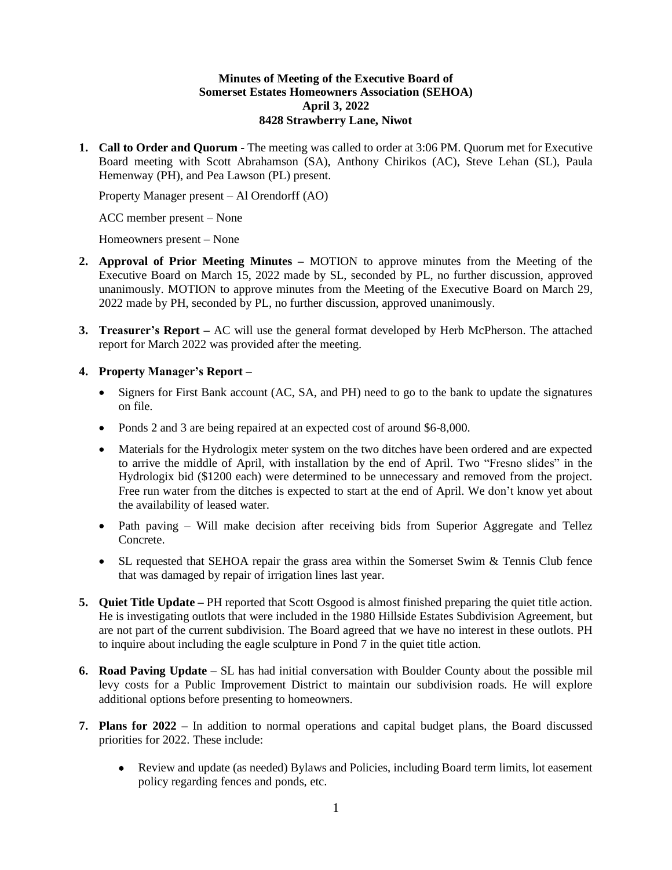## **Minutes of Meeting of the Executive Board of Somerset Estates Homeowners Association (SEHOA) April 3, 2022 8428 Strawberry Lane, Niwot**

**1. Call to Order and Quorum -** The meeting was called to order at 3:06 PM. Quorum met for Executive Board meeting with Scott Abrahamson (SA), Anthony Chirikos (AC), Steve Lehan (SL), Paula Hemenway (PH), and Pea Lawson (PL) present.

Property Manager present – Al Orendorff (AO)

ACC member present – None

Homeowners present – None

- **2. Approval of Prior Meeting Minutes –** MOTION to approve minutes from the Meeting of the Executive Board on March 15, 2022 made by SL, seconded by PL, no further discussion, approved unanimously. MOTION to approve minutes from the Meeting of the Executive Board on March 29, 2022 made by PH, seconded by PL, no further discussion, approved unanimously.
- **3. Treasurer's Report –** AC will use the general format developed by Herb McPherson. The attached report for March 2022 was provided after the meeting.

## **4. Property Manager's Report –**

- Signers for First Bank account (AC, SA, and PH) need to go to the bank to update the signatures on file.
- Ponds 2 and 3 are being repaired at an expected cost of around \$6-8,000.
- Materials for the Hydrologix meter system on the two ditches have been ordered and are expected to arrive the middle of April, with installation by the end of April. Two "Fresno slides" in the Hydrologix bid (\$1200 each) were determined to be unnecessary and removed from the project. Free run water from the ditches is expected to start at the end of April. We don't know yet about the availability of leased water.
- Path paving Will make decision after receiving bids from Superior Aggregate and Tellez Concrete.
- SL requested that SEHOA repair the grass area within the Somerset Swim & Tennis Club fence that was damaged by repair of irrigation lines last year.
- **5. Quiet Title Update –** PH reported that Scott Osgood is almost finished preparing the quiet title action. He is investigating outlots that were included in the 1980 Hillside Estates Subdivision Agreement, but are not part of the current subdivision. The Board agreed that we have no interest in these outlots. PH to inquire about including the eagle sculpture in Pond 7 in the quiet title action.
- **6. Road Paving Update –** SL has had initial conversation with Boulder County about the possible mil levy costs for a Public Improvement District to maintain our subdivision roads. He will explore additional options before presenting to homeowners.
- **7. Plans for 2022 –** In addition to normal operations and capital budget plans, the Board discussed priorities for 2022. These include:
	- Review and update (as needed) Bylaws and Policies, including Board term limits, lot easement policy regarding fences and ponds, etc.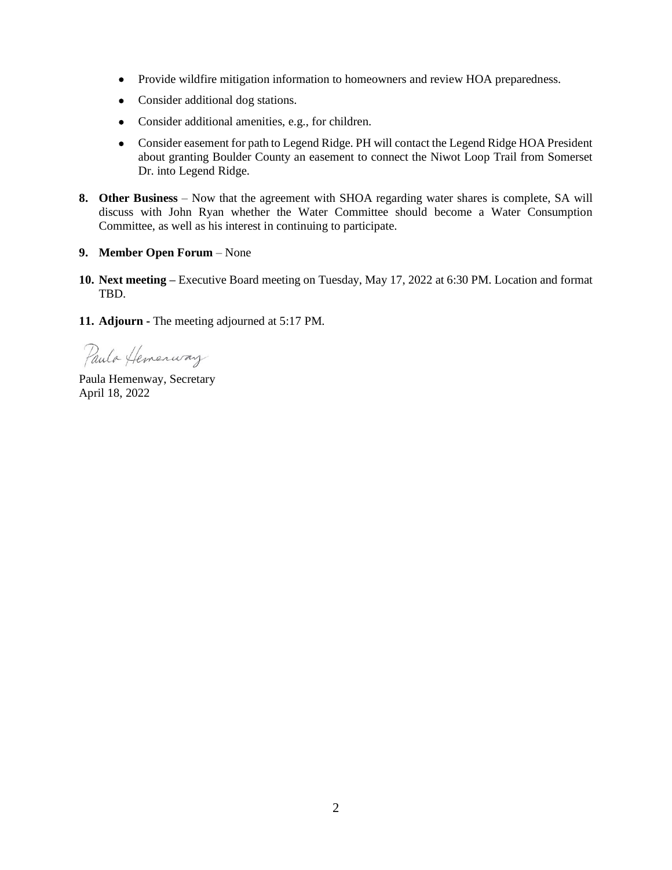- Provide wildfire mitigation information to homeowners and review HOA preparedness.
- Consider additional dog stations.
- Consider additional amenities, e.g., for children.
- Consider easement for path to Legend Ridge. PH will contact the Legend Ridge HOA President about granting Boulder County an easement to connect the Niwot Loop Trail from Somerset Dr. into Legend Ridge.
- **8. Other Business** Now that the agreement with SHOA regarding water shares is complete, SA will discuss with John Ryan whether the Water Committee should become a Water Consumption Committee, as well as his interest in continuing to participate.

## **9. Member Open Forum** – None

**10. Next meeting –** Executive Board meeting on Tuesday, May 17, 2022 at 6:30 PM. Location and format TBD.

**11. Adjourn -** The meeting adjourned at 5:17 PM.

Paula Hemenway

Paula Hemenway, Secretary April 18, 2022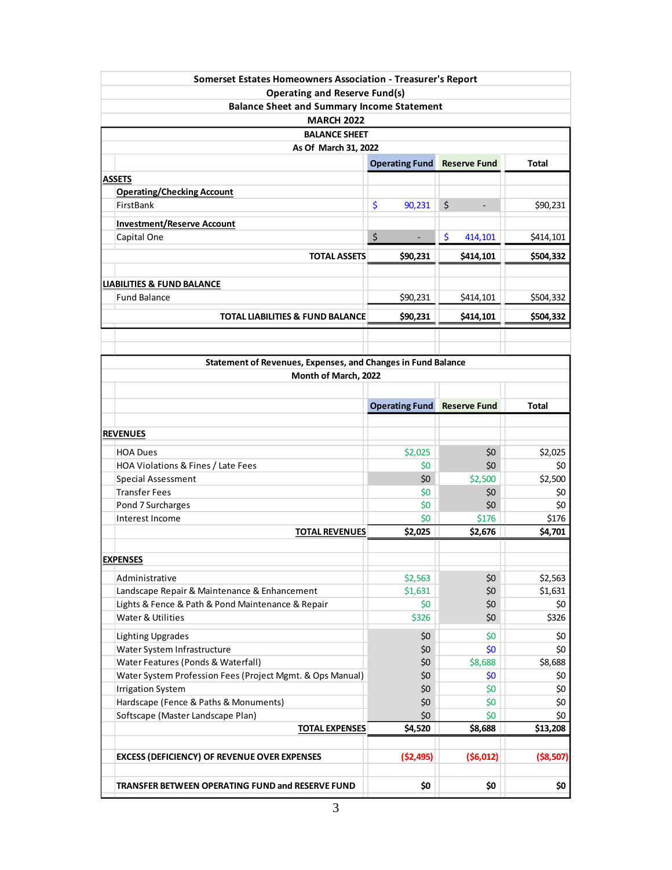| Somerset Estates Homeowners Association - Treasurer's Report   |                                    |                      |                    |
|----------------------------------------------------------------|------------------------------------|----------------------|--------------------|
| <b>Operating and Reserve Fund(s)</b>                           |                                    |                      |                    |
| <b>Balance Sheet and Summary Income Statement</b>              |                                    |                      |                    |
| <b>MARCH 2022</b>                                              |                                    |                      |                    |
| <b>BALANCE SHEET</b>                                           |                                    |                      |                    |
| As Of March 31, 2022                                           |                                    |                      |                    |
|                                                                | <b>Operating Fund</b>              | <b>Reserve Fund</b>  | <b>Total</b>       |
| <b>ASSETS</b>                                                  |                                    |                      |                    |
| <b>Operating/Checking Account</b>                              |                                    |                      |                    |
| FirstBank                                                      | \$<br>90,231                       | \$<br>$\blacksquare$ | \$90,231           |
|                                                                |                                    |                      |                    |
| <b>Investment/Reserve Account</b>                              |                                    |                      |                    |
| Capital One                                                    | \$                                 | \$<br>414,101        | \$414,101          |
| <b>TOTAL ASSETS</b>                                            | \$90,231                           | \$414,101            | \$504,332          |
|                                                                |                                    |                      |                    |
| <b>LIABILITIES &amp; FUND BALANCE</b>                          |                                    |                      |                    |
| <b>Fund Balance</b>                                            | \$90,231                           | \$414,101            | \$504,332          |
| <b>TOTAL LIABILITIES &amp; FUND BALANCE</b>                    | \$90,231                           | \$414,101            | \$504,332          |
|                                                                |                                    |                      |                    |
|                                                                |                                    |                      |                    |
|                                                                |                                    |                      |                    |
| Statement of Revenues, Expenses, and Changes in Fund Balance   |                                    |                      |                    |
| Month of March, 2022                                           |                                    |                      |                    |
|                                                                |                                    |                      |                    |
|                                                                | <b>Operating Fund Reserve Fund</b> |                      | <b>Total</b>       |
|                                                                |                                    |                      |                    |
| <b>REVENUES</b>                                                |                                    |                      |                    |
| <b>HOA Dues</b>                                                | \$2,025                            | \$0                  | \$2,025            |
| HOA Violations & Fines / Late Fees                             | \$0                                | \$0                  | \$0                |
| Special Assessment                                             | \$0                                | \$2,500              | \$2,500            |
| <b>Transfer Fees</b>                                           | \$0                                | \$0                  | \$0                |
| Pond 7 Surcharges                                              | \$0                                | \$0                  | \$0                |
| Interest Income                                                | \$0                                | \$176                | \$176              |
| <b>TOTAL REVENUES</b>                                          | \$2,025                            | \$2,676              | \$4,701            |
|                                                                |                                    |                      |                    |
| <b>EXPENSES</b>                                                |                                    |                      |                    |
|                                                                |                                    | \$0                  |                    |
| Administrative<br>Landscape Repair & Maintenance & Enhancement | \$2,563<br>\$1,631                 | \$0                  | \$2,563<br>\$1,631 |
| Lights & Fence & Path & Pond Maintenance & Repair              | \$0                                | \$0                  | \$0                |
| Water & Utilities                                              | \$326                              | \$0                  | \$326              |
|                                                                |                                    |                      |                    |
| <b>Lighting Upgrades</b>                                       | \$0                                | \$0                  | \$0                |
| Water System Infrastructure                                    | \$0                                | \$0                  | \$0                |
| Water Features (Ponds & Waterfall)                             | \$0                                | \$8,688              | \$8,688            |
| Water System Profession Fees (Project Mgmt. & Ops Manual)      | \$0                                | \$0                  | \$0                |
| <b>Irrigation System</b>                                       | \$0                                | \$0                  | \$0                |
| Hardscape (Fence & Paths & Monuments)                          | \$0                                | \$0                  | \$0                |
| Softscape (Master Landscape Plan)                              | \$0                                | \$0                  | \$0                |
| <b>TOTAL EXPENSES</b>                                          | \$4,520                            | \$8,688              | \$13,208           |
|                                                                |                                    |                      |                    |
| <b>EXCESS (DEFICIENCY) OF REVENUE OVER EXPENSES</b>            | ( \$2,495)                         | (56, 012)            | ( \$8,507)         |
|                                                                |                                    |                      |                    |
| TRANSFER BETWEEN OPERATING FUND and RESERVE FUND               | \$0                                | \$0                  | \$0                |